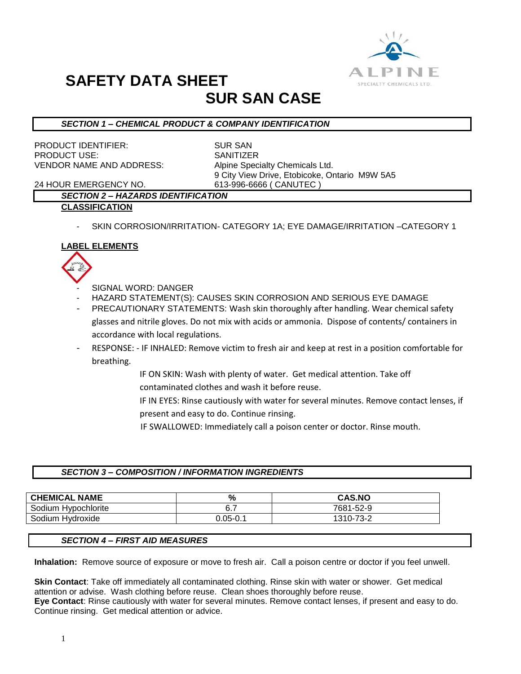

# **SAFETY DATA SHEET SUR SAN CASE**

# *SECTION 1 – CHEMICAL PRODUCT & COMPANY IDENTIFICATION*

PRODUCT IDENTIFIER: SUR SAN PRODUCT USE: SANITIZER VENDOR NAME AND ADDRESS: Alpine Specialty Chemicals Ltd.

9 City View Drive, Etobicoke, Ontario M9W 5A5

24 HOUR EMERGENCY NO. 613-996-6666 ( CANUTEC )

# *SECTION 2 – HAZARDS IDENTIFICATION*

## **CLASSIFICATION**

SKIN CORROSION/IRRITATION- CATEGORY 1A; EYE DAMAGE/IRRITATION -CATEGORY 1

# **LABEL ELEMENTS**



- SIGNAL WORD: DANGER
- HAZARD STATEMENT(S): CAUSES SKIN CORROSION AND SERIOUS EYE DAMAGE
- PRECAUTIONARY STATEMENTS: Wash skin thoroughly after handling. Wear chemical safety glasses and nitrile gloves. Do not mix with acids or ammonia. Dispose of contents/ containers in accordance with local regulations.
- RESPONSE: IF INHALED: Remove victim to fresh air and keep at rest in a position comfortable for breathing.
	- IF ON SKIN: Wash with plenty of water. Get medical attention. Take off contaminated clothes and wash it before reuse.
	- IF IN EYES: Rinse cautiously with water for several minutes. Remove contact lenses, if present and easy to do. Continue rinsing.
	- IF SWALLOWED: Immediately call a poison center or doctor. Rinse mouth.

# *SECTION 3 – COMPOSITION / INFORMATION INGREDIENTS*

| <b>CHEMICAL NAME</b> | %            | <b>CAS.NO</b> |
|----------------------|--------------|---------------|
| Sodium Hypochlorite  | 6.7          | 7681-52-9     |
| Sodium Hydroxide     | $J.05 - 0.1$ | 1310-73-2     |

## *SECTION 4 – FIRST AID MEASURES*

**Inhalation:** Remove source of exposure or move to fresh air. Call a poison centre or doctor if you feel unwell.

**Skin Contact**: Take off immediately all contaminated clothing. Rinse skin with water or shower. Get medical attention or advise. Wash clothing before reuse. Clean shoes thoroughly before reuse. **Eye Contact**: Rinse cautiously with water for several minutes. Remove contact lenses, if present and easy to do. Continue rinsing. Get medical attention or advice.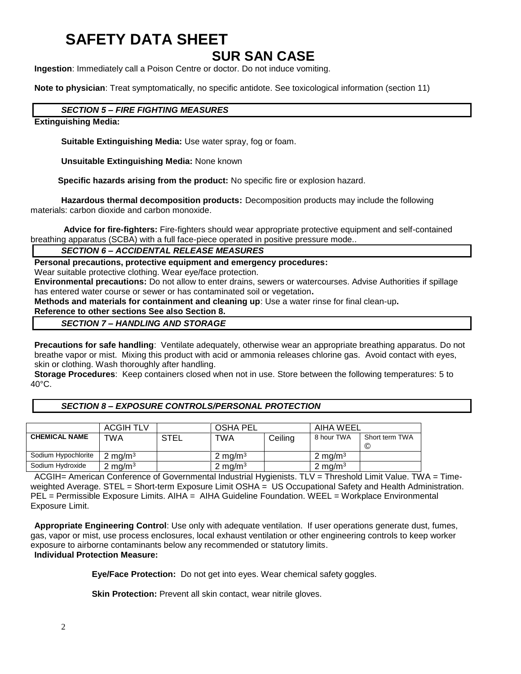# **SAFETY DATA SHEET**

# **SUR SAN CASE**

**Ingestion**: Immediately call a Poison Centre or doctor. Do not induce vomiting.

**Note to physician**: Treat symptomatically, no specific antidote. See toxicological information (section 11)

# *SECTION 5 – FIRE FIGHTING MEASURES*

# **Extinguishing Media:**

**Suitable Extinguishing Media:** Use water spray, fog or foam.

**Unsuitable Extinguishing Media:** None known

 **Specific hazards arising from the product:** No specific fire or explosion hazard.

**Hazardous thermal decomposition products:** Decomposition products may include the following materials: carbon dioxide and carbon monoxide.

**Advice for fire-fighters:** Fire-fighters should wear appropriate protective equipment and self-contained breathing apparatus (SCBA) with a full face-piece operated in positive pressure mode..

# *SECTION 6 – ACCIDENTAL RELEASE MEASURES*

**Personal precautions, protective equipment and emergency procedures:**

Wear suitable protective clothing. Wear eye/face protection.

**Environmental precautions:** Do not allow to enter drains, sewers or watercourses. Advise Authorities if spillage has entered water course or sewer or has contaminated soil or vegetation**.** 

**Methods and materials for containment and cleaning up**: Use a water rinse for final clean-up**.** 

## **Reference to other sections See also Section 8.** *SECTION 7 – HANDLING AND STORAGE*

**Precautions for safe handling**: Ventilate adequately, otherwise wear an appropriate breathing apparatus. Do not breathe vapor or mist. Mixing this product with acid or ammonia releases chlorine gas. Avoid contact with eyes, skin or clothing. Wash thoroughly after handling.

**Storage Procedures**: Keep containers closed when not in use. Store between the following temperatures: 5 to 40°C.

## *SECTION 8 – EXPOSURE CONTROLS/PERSONAL PROTECTION*

|                      | <b>ACGIH TLV</b>   |             | <b>OSHA PEL</b>    |         | AIHA WEEL          |                      |
|----------------------|--------------------|-------------|--------------------|---------|--------------------|----------------------|
| <b>CHEMICAL NAME</b> | TWA                | <b>STEL</b> | <b>TWA</b>         | Ceiling | 8 hour TWA         | Short term TWA<br>C) |
| Sodium Hypochlorite  | $2 \text{ mg/m}^3$ |             | $2 \text{ mg/m}^3$ |         | $2 \text{ ma/m}^3$ |                      |
| Sodium Hydroxide     | 2 mg/m $^3$        |             | 2 mg/m $3$         |         | 2 mg/m $3$         |                      |

ACGIH= American Conference of Governmental Industrial Hygienists. TLV = Threshold Limit Value. TWA = Timeweighted Average. STEL = Short-term Exposure Limit OSHA = US Occupational Safety and Health Administration. PEL = Permissible Exposure Limits. AIHA = AIHA Guideline Foundation. WEEL = Workplace Environmental Exposure Limit.

**Appropriate Engineering Control**: Use only with adequate ventilation. If user operations generate dust, fumes, gas, vapor or mist, use process enclosures, local exhaust ventilation or other engineering controls to keep worker exposure to airborne contaminants below any recommended or statutory limits. **Individual Protection Measure:**

**Eye/Face Protection:** Do not get into eyes. Wear chemical safety goggles.

**Skin Protection:** Prevent all skin contact, wear nitrile gloves.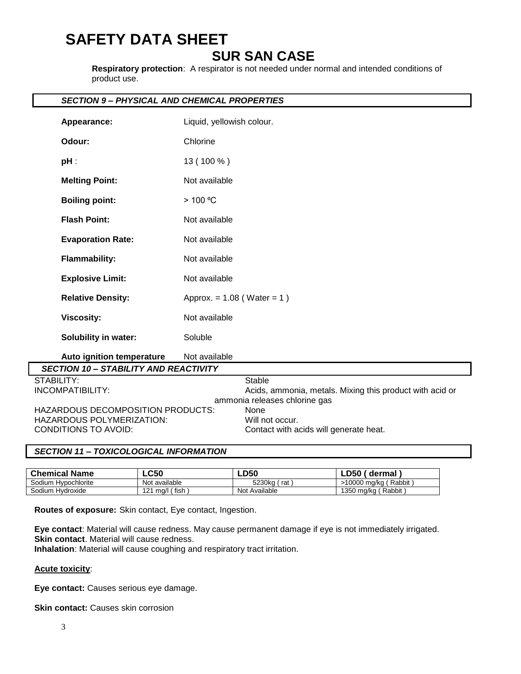# **SAFETY DATA SHEET**

# **SUR SAN CASE**

**Respiratory protection**: A respirator is not needed under normal and intended conditions of product use.

# *SECTION 9 – PHYSICAL AND CHEMICAL PROPERTIES*

| Appearance:                                                                                                 | Liquid, yellowish colour.                                                                                  |  |  |  |  |  |
|-------------------------------------------------------------------------------------------------------------|------------------------------------------------------------------------------------------------------------|--|--|--|--|--|
| Odour:                                                                                                      | Chlorine                                                                                                   |  |  |  |  |  |
| $pH$ :                                                                                                      | 13 (100 %)                                                                                                 |  |  |  |  |  |
| <b>Melting Point:</b>                                                                                       | Not available                                                                                              |  |  |  |  |  |
| <b>Boiling point:</b>                                                                                       | > 100 °C                                                                                                   |  |  |  |  |  |
| <b>Flash Point:</b>                                                                                         | Not available                                                                                              |  |  |  |  |  |
| <b>Evaporation Rate:</b>                                                                                    | Not available                                                                                              |  |  |  |  |  |
| <b>Flammability:</b>                                                                                        | Not available                                                                                              |  |  |  |  |  |
| <b>Explosive Limit:</b>                                                                                     | Not available                                                                                              |  |  |  |  |  |
| <b>Relative Density:</b>                                                                                    | Approx. = $1.08$ (Water = $1)$ )                                                                           |  |  |  |  |  |
| <b>Viscosity:</b>                                                                                           | Not available                                                                                              |  |  |  |  |  |
| <b>Solubility in water:</b>                                                                                 | Soluble                                                                                                    |  |  |  |  |  |
| Auto ignition temperature                                                                                   | Not available                                                                                              |  |  |  |  |  |
| <b>SECTION 10 - STABILITY AND REACTIVITY</b>                                                                |                                                                                                            |  |  |  |  |  |
| <b>STABILITY:</b><br><b>INCOMPATIBILITY:</b>                                                                | <b>Stable</b><br>Acids, ammonia, metals. Mixing this product with acid or<br>ammonia releases chlorine gas |  |  |  |  |  |
| <b>HAZARDOUS DECOMPOSITION PRODUCTS:</b><br><b>HAZARDOUS POLYMERIZATION:</b><br><b>CONDITIONS TO AVOID:</b> | None<br>Will not occur.<br>Contact with acids will generate heat.                                          |  |  |  |  |  |

## *SECTION 11 – TOXICOLOGICAL INFORMATION*

| <b>Chemical Name</b> | $\mathsf{L} \mathsf{C50}$ | <b>LD50</b>   | LD50'<br>dermal        |
|----------------------|---------------------------|---------------|------------------------|
| Sodium Hypochlorite  | Not available             | 5230ka<br>rat | >10000 mg/kg (Rabbit)  |
| Sodium Hvdroxide     | mg/l (fish<br>121         | Not Available | Rabbit<br>1350 mg/kg ( |

**Routes of exposure:** Skin contact, Eye contact, Ingestion.

**Eye contact**: Material will cause redness. May cause permanent damage if eye is not immediately irrigated. **Skin contact.** Material will cause redness.

**Inhalation**: Material will cause coughing and respiratory tract irritation.

## **Acute toxicity**:

**Eye contact:** Causes serious eye damage.

**Skin contact:** Causes skin corrosion